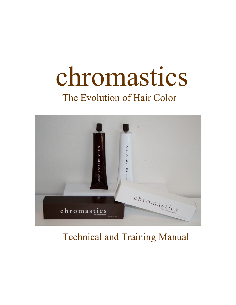# chromastics The Evolution of Hair Color



# Technical and Training Manual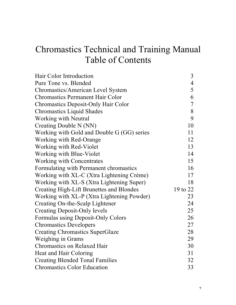### Chromastics Technical and Training Manual Table of Contents

| Hair Color Introduction                         | $\overline{3}$ |
|-------------------------------------------------|----------------|
| Pure Tone vs. Blended                           | $\overline{4}$ |
| Chromastics/American Level System               | 5              |
| <b>Chromastics Permanent Hair Color</b>         | 6              |
| <b>Chromastics Deposit-Only Hair Color</b>      | $\overline{7}$ |
| <b>Chromastics Liquid Shades</b>                | 8              |
| Working with Neutral                            | 9              |
| Creating Double N (NN)                          | 10             |
| Working with Gold and Double G (GG) series      | 11             |
| Working with Red-Orange                         | 12             |
| Working with Red-Violet                         | 13             |
| Working with Blue-Violet                        | 14             |
| <b>Working with Concentrates</b>                | 15             |
| Formulating with Permanent chromastics          | 16             |
| Working with XL-C (Xtra Lightening Crème)       | 17             |
| Working with XL-S (Xtra Lightening Super)       | 18             |
| <b>Creating High-Lift Brunettes and Blondes</b> | 19 to 22       |
| Working with XL-P (Xtra Lightening Powder)      | 23             |
| Creating On-the-Scalp Lightener                 | 24             |
| <b>Creating Deposit-Only levels</b>             | 25             |
| Formulas using Deposit-Only Colors              | 26             |
| <b>Chromastics Developers</b>                   | 27             |
| <b>Creating Chromastics SuperGlaze</b>          | 28             |
| <b>Weighing in Grams</b>                        | 29             |
| <b>Chromastics on Relaxed Hair</b>              | 30             |
| Heat and Hair Coloring                          | 31             |
| <b>Creating Blended Tonal Families</b>          | 32             |
| <b>Chromastics Color Education</b>              | 33             |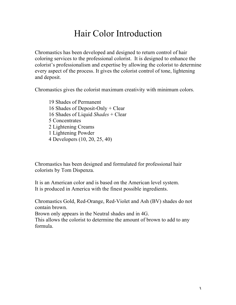### Hair Color Introduction

Chromastics has been developed and designed to return control of hair coloring services to the professional colorist. It is designed to enhance the colorist's professionalism and expertise by allowing the colorist to determine every aspect of the process. It gives the colorist control of tone, lightening and deposit.

Chromastics gives the colorist maximum creativity with minimum colors.

19 Shades of Permanent 16 Shades of Deposit-Only + Clear 16 Shades of Liquid *Shades* + Clear 5 Concentrates 2 Lightening Creams 1 Lightening Powder 4 Developers (10, 20, 25, 40)

Chromastics has been designed and formulated for professional hair colorists by Tom Dispenza.

It is an American color and is based on the American level system. It is produced in America with the finest possible ingredients.

Chromastics Gold, Red-Orange, Red-Violet and Ash (BV) shades do not contain brown.

Brown only appears in the Neutral shades and in 4G.

This allows the colorist to determine the amount of brown to add to any formula.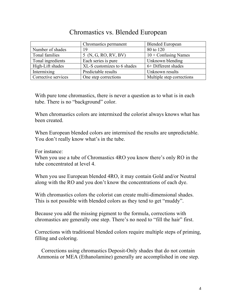### Chromastics vs. Blended European

|                     | Chromastics permanent       | <b>Blended European</b>   |
|---------------------|-----------------------------|---------------------------|
| Number of shades    | 19                          | 80 to 120                 |
| Tonal families      | 5 (N, G, RO, RV, BV)        | $10 +$ Confusing Names    |
| Tonal ingredients   | Each series is pure         | Unknown blending          |
| High-Lift shades    | XL-S customizes to 6 shades | 6+ Different shades       |
| Intermixing         | Predictable results         | Unknown results           |
| Corrective services | One step corrections        | Multiple step corrections |

With pure tone chromastics, there is never a question as to what is in each tube. There is no "background" color.

When chromastics colors are intermixed the colorist always knows what has been created.

When European blended colors are intermixed the results are unpredictable. You don't really know what's in the tube.

For instance:

When you use a tube of Chromastics 4RO you know there's only RO in the tube concentrated at level 4.

When you use European blended 4RO, it may contain Gold and/or Neutral along with the RO and you don't know the concentrations of each dye.

With chromastics colors the colorist can create multi-dimensional shades. This is not possible with blended colors as they tend to get "muddy".

Because you add the missing pigment to the formula, corrections with chromastics are generally one step. There's no need to "fill the hair" first.

Corrections with traditional blended colors require multiple steps of priming, filling and coloring.

Corrections using chromastics Deposit-Only shades that do not contain Ammonia or MEA (Ethanolamine) generally are accomplished in one step.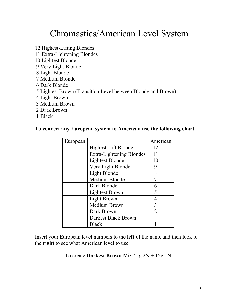### Chromastics/American Level System

12 Highest-Lifting Blondes 11 Extra-Lightening Blondes 10 Lightest Blonde 9 Very Light Blonde 8 Light Blonde 7 Medium Blonde 6 Dark Blonde 5 Lightest Brown (Transition Level between Blonde and Brown) 4 Light Brown 3 Medium Brown 2 Dark Brown 1 Black

#### **To convert any European system to American use the following chart**

| European |                          | American       |
|----------|--------------------------|----------------|
|          | Highest-Lift Blonde      | 12             |
|          | Extra-Lightening Blondes | 11             |
|          | <b>Lightest Blonde</b>   | 10             |
|          | Very Light Blonde        | 9              |
|          | Light Blonde             | 8              |
|          | Medium Blonde            | 7              |
|          | Dark Blonde              | 6              |
|          | <b>Lightest Brown</b>    | 5              |
|          | Light Brown              | 4              |
|          | Medium Brown             | 3              |
|          | Dark Brown               | $\mathfrak{D}$ |
|          | Darkest Black Brown      |                |
|          | <b>Black</b>             |                |

Insert your European level numbers to the **left** of the name and then look to the **right** to see what American level to use

To create **Darkest Brown** Mix 45g 2N + 15g 1N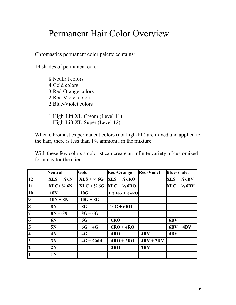### Permanent Hair Color Overview

Chromastics permanent color palette contains:

19 shades of permanent color

8 Neutral colors 4 Gold colors 3 Red-Orange colors 2 Red-Violet colors 2 Blue-Violet colors

1 High-Lift XL-Cream (Level 11) 1 High-Lift XL-Super (Level 12)

When Chromastics permanent colors (not high-lift) are mixed and applied to the hair, there is less than 1% ammonia in the mixture.

With these few colors a colorist can create an infinite variety of customized formulas for the client.

|                         | <b>Neutral</b>                        | Gold        | <b>Red-Orange</b>                              | <b>Red-Violet</b> | <b>Blue-Violet</b>      |
|-------------------------|---------------------------------------|-------------|------------------------------------------------|-------------------|-------------------------|
| 12                      | $XLS + \frac{1}{4}6N$                 |             | $XLS + \frac{1}{4} 6G$ $XLS + \frac{1}{4} 6RO$ |                   | $XLS + \frac{1}{4}$ 6BV |
| 11                      | $XLC+$ <sup>1</sup> / <sub>4</sub> 6N |             | $XLC + \frac{1}{4} 6G$ $XLC + \frac{1}{4} 6RO$ |                   | $XLC + \frac{1}{4}$ 6BV |
| 10                      | <b>10N</b>                            | 10G         | $1\frac{1}{2}$ 10G + $\frac{1}{2}$ 6RO         |                   |                         |
| 9                       | $10N + 8N$                            | $10G + 8G$  |                                                |                   |                         |
| $\overline{\bf 8}$      | <b>8N</b>                             | 8G          | $10G + 6RO$                                    |                   |                         |
| 7                       | $8N + 6N$                             | $8G + 6G$   |                                                |                   |                         |
| $\overline{6}$          | 6N                                    | 6G          | 6RO                                            |                   | 6BV                     |
| 5                       | 5N                                    | $6G + 4G$   | $6RO + 4RO$                                    |                   | $6BV + 4BV$             |
| $\overline{\mathbf{4}}$ | 4N                                    | 4G          | 4RO                                            | 4RV               | 4BV                     |
| 3                       | 3N                                    | $4G + Gold$ | $4RO + 2RO$                                    | $4RV + 2RV$       |                         |
| $\overline{2}$          | 2N                                    |             | 2RO                                            | 2RV               |                         |
| 1                       | 1 <sub>N</sub>                        |             |                                                |                   |                         |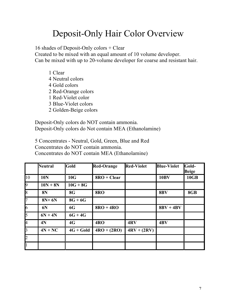### Deposit-Only Hair Color Overview

16 shades of Deposit-Only colors + Clear

Created to be mixed with an equal amount of 10 volume developer. Can be mixed with up to 20-volume developer for coarse and resistant hair.

1 Clear 4 Neutral colors 4 Gold colors 2 Red-Orange colors 1 Red-Violet color 3 Blue-Violet colors 2 Golden-Beige colors

Deposit-Only colors do NOT contain ammonia. Deposit-Only colors do Not contain MEA (Ethanolamine)

5 Concentrates - Neutral, Gold, Green, Blue and Red Concentrates do NOT contain ammonia. Concentrates do NOT contain MEA (Ethanolamine)

|                | <b>Neutral</b> | Gold        | <b>Red-Orange</b> | <b>Red-Violet</b> | <b>Blue-Violet</b> | Gold-<br><b>Beige</b> |
|----------------|----------------|-------------|-------------------|-------------------|--------------------|-----------------------|
| 10             | <b>10N</b>     | 10G         | $8RO + Clear$     |                   | <b>10BV</b>        | 10GB                  |
| 9              | $10N + 8N$     | $10G + 8G$  |                   |                   |                    |                       |
| $\overline{8}$ | <b>8N</b>      | <b>8G</b>   | <b>8RO</b>        |                   | 8BV                | 8GB                   |
| 7              | $8N+6N$        | $8G + 6G$   |                   |                   |                    |                       |
| $\overline{6}$ | 6N             | 6G          | $8RO + 4RO$       |                   | $8BV + 4BV$        |                       |
| 5              | $6N + 4N$      | $6G + 4G$   |                   |                   |                    |                       |
| 4              | 4N             | 4G          | 4RO               | 4RV               | 4BV                |                       |
| $\overline{3}$ | $4N + NC$      | $4G + Gold$ | $4RO + (2RO)$     | $4RV + (2RV)$     |                    |                       |
| $\overline{2}$ |                |             |                   |                   |                    |                       |
| $\vert$ 1      |                |             |                   |                   |                    |                       |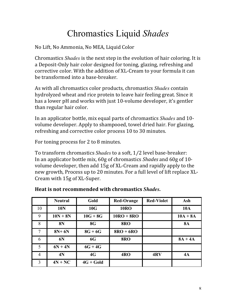### Chromastics Liquid *Shades*

No Lift, No Ammonia, No MEA, Liquid Color

Chromastics *Shades* is the next step in the evolution of hair coloring. It is a Deposit-Only hair color designed for toning, glazing, refreshing and corrective color. With the addition of XL-Cream to your formula it can be transformed into a base-breaker.

As with all chromastics color products, chromastics *Shades* contain hydrolyzed wheat and rice protein to leave hair feeling great. Since it has a lower pH and works with just 10-volume developer, it's gentler than regular hair color.

In an applicator bottle, mix equal parts of chromastics *Shades* and 10volume developer. Apply to shampooed, towel dried hair. For glazing, refreshing and corrective color process 10 to 30 minutes.

For toning process for 2 to 8 minutes.

To transform chromastics *Shades* to a soft, 1/2 level base-breaker: In an applicator bottle mix, 60g of chromastics *Shades* and 60g of 10volume developer, then add 15g of XL-Cream and rapidly apply to the new growth, Process up to 20 minutes. For a full level of lift replace XL-Cream with  $15g$  of XL-Super.

|    | <b>Neutral</b> | Gold        | <b>Red-Orange</b> | <b>Red-Violet</b> | Ash        |
|----|----------------|-------------|-------------------|-------------------|------------|
| 10 | <b>10N</b>     | 10G         | <b>10RO</b>       |                   | <b>10A</b> |
| 9  | $10N + 8N$     | $10G + 8G$  | $10RO + 8RO$      |                   | $10A + 8A$ |
| 8  | <b>8N</b>      | <b>8G</b>   | <b>8RO</b>        |                   | <b>8A</b>  |
| 7  | $8N+6N$        | $8G + 6G$   | $8RO + 6RO$       |                   |            |
| 6  | 6N             | <b>6G</b>   | <b>8RO</b>        |                   | $8A + 4A$  |
| 5  | $6N + 4N$      | $6G + 4G$   |                   |                   |            |
| 4  | 4N             | 4G          | 4RO               | 4RV               | 4A         |
| 3  | $4N + NC$      | $4G + Gold$ |                   |                   |            |

| Heat is not recommended with chromastics Shades. |  |
|--------------------------------------------------|--|
|--------------------------------------------------|--|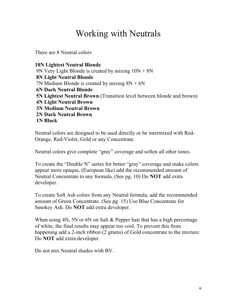### Working with Neutrals

There are 8 Neutral colors

**10N Lightest Neutral Blonde** 9N Very Light Blonde is created by mixing 10N + 8N **8N Light Neutral Blonde** 7N Medium Blonde is created by mixing  $8N + 6N$ **6N Dark Neutral Blonde 5N Lightest Neutral Brown** (Transition level between blonde and brown) **4N Light Neutral Brown 3N Medium Neutral Brown 2N Dark Neutral Brown 1N Black** 

Neutral colors are designed to be used directly or be intermixed with Red-Orange, Red-Violet, Gold or any Concentrate.

Neutral colors give complete "gray" coverage and soften all other tones.

To create the "Double N" series for better "gray" coverage and make colors appear more opaque, (European like) add the recommended amount of Neutral Concentrate to any formula. (See pg. 10) Do **NOT** add extra developer.

To create Soft Ash colors from any Neutral formula, add the recommended amount of Green Concentrate. (See pg. 15) Use Blue Concentrate for Smokey Ash. Do **NOT** add extra developer.

When using 4N, 5N or 6N on Salt & Pepper hair that has a high percentage of white, the final results may appear too cool. To prevent this from happening add a 2-inch ribbon (2 grams) of Gold concentrate to the mixture. Do **NOT** add extra developer.

Do not mix Neutral shades with BV.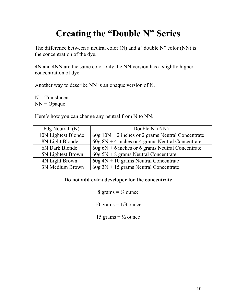### **Creating the "Double N" Series**

The difference between a neutral color (N) and a "double N" color (NN) is the concentration of the dye.

4N and 4NN are the same color only the NN version has a slightly higher concentration of dye.

Another way to describe NN is an opaque version of N.

 $N =$ Translucent  $NN = O$ paque

Here's how you can change any neutral from N to NN.

| 60g Neutral (N)     | Double N (NN)                                       |
|---------------------|-----------------------------------------------------|
| 10N Lightest Blonde | $60g$ 10N + 2 inches or 2 grams Neutral Concentrate |
| 8N Light Blonde     | $60g$ 8N + 4 inches or 4 grams Neutral Concentrate  |
| 6N Dark Blonde      | $60g$ 6N + 6 inches or 6 grams Neutral Concentrate  |
| 5N Lightest Brown   | $60g$ 5N + 8 grams Neutral Concentrate              |
| 4N Light Brown      | $60g$ 4N + 10 grams Neutral Concentrate             |
| 3N Medium Brown     | $60g$ 3N + 15 grams Neutral Concentrate             |

#### **Do not add extra developer for the concentrate**

8 grams  $= \frac{1}{4}$  ounce

10 grams  $= 1/3$  ounce

15 grams  $= \frac{1}{2}$  ounce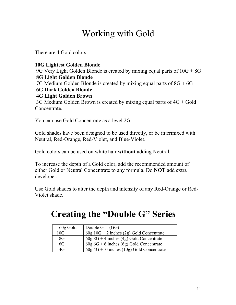### Working with Gold

There are 4 Gold colors

#### **10G Lightest Golden Blonde** 9G Very Light Golden Blonde is created by mixing equal parts of 10G + 8G **8G Light Golden Blonde** 7G Medium Golden Blonde is created by mixing equal parts of  $8G + 6G$ **6G Dark Golden Blonde 4G Light Golden Brown** 3G Medium Golden Brown is created by mixing equal parts of 4G + Gold Concentrate.

You can use Gold Concentrate as a level 2G

Gold shades have been designed to be used directly, or be intermixed with Neutral, Red-Orange, Red-Violet, and Blue-Violet.

Gold colors can be used on white hair **without** adding Neutral.

To increase the depth of a Gold color, add the recommended amount of either Gold or Neutral Concentrate to any formula. Do **NOT** add extra developer.

Use Gold shades to alter the depth and intensity of any Red-Orange or Red-Violet shade.

### **Creating the "Double G" Series**

| 60g Gold | Double $G$ (GG)                            |
|----------|--------------------------------------------|
| 10G      | $60g$ 10G + 2 inches (2g) Gold Concentrate |
| 8G       | $60g 8G + 4$ inches (4g) Gold Concentrate  |
| 6G       | $60g\ 6G + 6$ inches (6g) Gold Concentrate |
| 4G       | $60g$ 4G +10 inches (10g) Gold Concentrate |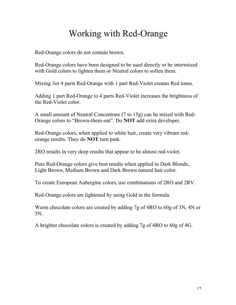### Working with Red-Orange

Red-Orange colors do not contain brown.

Red-Orange colors have been designed to be used directly or be intermixed with Gold colors to lighten them or Neutral colors to soften them.

Mixing 3or 4 parts Red-Orange with 1 part Red-Violet creates Red tones.

Adding 1 part Red-Orange to 4 parts Red-Violet increases the brightness of the Red-Violet color.

A small amount of Neutral Concentrate (7 to 15g) can be mixed with Red-Orange colors to "Brown-them-out". Do **NOT** add extra developer.

Red-Orange colors, when applied to white hair, create very vibrant redorange results. They do **NOT** turn pink.

2RO results in very deep results that appear to be almost red-violet.

Pure Red-Orange colors give best results when applied to Dark Blonde, Light Brown, Medium Brown and Dark Brown natural hair color.

To create European Aubergine colors, use combinations of 2RO and 2RV.

Red-Orange colors are lightened by using Gold in the formula.

Warm chocolate colors are created by adding 7g of 4RO to 60g of 3N, 4N or 5N.

A brighter chocolate colors is created by adding 7g of 4RO to 60g of 4G.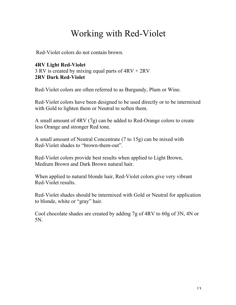### Working with Red-Violet

Red-Violet colors do not contain brown.

#### **4RV Light Red-Violet** 3 RV is created by mixing equal parts of 4RV + 2RV **2RV Dark Red-Violet**

Red-Violet colors are often referred to as Burgundy, Plum or Wine.

Red-Violet colors have been designed to be used directly or to be intermixed with Gold to lighten them or Neutral to soften them.

A small amount of 4RV (7g) can be added to Red-Orange colors to create less Orange and stronger Red tone.

A small amount of Neutral Concentrate (7 to 15g) can be mixed with Red-Violet shades to "brown-them-out".

Red-Violet colors provide best results when applied to Light Brown, Medium Brown and Dark Brown natural hair.

When applied to natural blonde hair, Red-Violet colors give very vibrant Red-Violet results.

Red-Violet shades should be intermixed with Gold or Neutral for application to blonde, white or "gray" hair.

Cool chocolate shades are created by adding 7g of 4RV to 60g of 3N, 4N or 5N.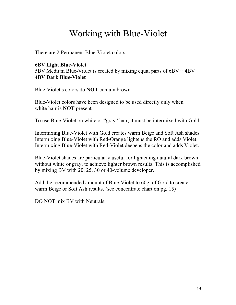### Working with Blue-Violet

There are 2 Permanent Blue-Violet colors.

#### **6BV Light Blue-Violet**

5BV Medium Blue-Violet is created by mixing equal parts of 6BV + 4BV **4BV Dark Blue-Violet**

Blue-Violet s colors do **NOT** contain brown.

Blue-Violet colors have been designed to be used directly only when white hair is **NOT** present.

To use Blue-Violet on white or "gray" hair, it must be intermixed with Gold.

Intermixing Blue-Violet with Gold creates warm Beige and Soft Ash shades. Intermixing Blue-Violet with Red-Orange lightens the RO and adds Violet. Intermixing Blue-Violet with Red-Violet deepens the color and adds Violet.

Blue-Violet shades are particularly useful for lightening natural dark brown without white or gray, to achieve lighter brown results. This is accomplished by mixing BV with 20, 25, 30 or 40-volume developer.

Add the recommended amount of Blue-Violet to 60g. of Gold to create warm Beige or Soft Ash results. (see concentrate chart on pg. 15)

DO NOT mix BV with Neutrals.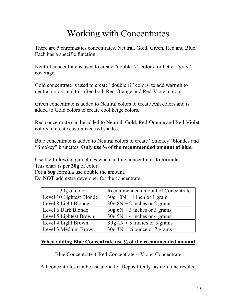### Working with Concentrates

There are 5 chromastics concentrates, Neutral, Gold, Green, Red and Blue. Each has a specific function.

Neutral concentrate is used to create "double N" colors for better "gray" coverage.

Gold concentrate is used to create "double G" colors, to add warmth to neutral colors and to soften both Red-Orange and Red-Violet colors.

Green concentrate is added to Neutral colors to create Ash colors and is added to Gold colors to create cool beige colors.

Red concentrate can be added to Neutral, Gold, Red-Orange and Red-Violet colors to create customized red shades.

Blue concentrate is added to Neutral colors to create "Smokey" blondes and "Smokey" brunettes. **Only use ½ of the recommended amount of blue.**

Use the following guidelines when adding concentrates to formulas. This chart is per **30g** of color.

For a **60g** formula use double the amount.

Do **NOT** add extra developer for the concentrate.

| 30g of color             | Recommended amount of Concentrate.        |
|--------------------------|-------------------------------------------|
| Level 10 Lightest Blonde | $30g 10N + 1$ inch or 1 gram              |
| Level 8 Light Blonde     | $30g 8N + 2$ inches or 2 grams            |
| Level 6 Dark Blonde      | $30g$ 6N + 3 inches or 3 grams            |
| Level 5 Lightest Brown   | $30g$ 5N + 4 inches or 4 grams            |
| Level 4 Light Brown      | $30g 4N + 5$ inches or 5 grams            |
| Level 3 Medium Brown     | $30g \ 3N + \frac{1}{4}$ ounce or 7 grams |

#### **When adding Blue Concentrate use ½ of the recommended amount**

Blue Concentrate + Red Concentrate = Violet Concentrate

All concentrates can be use alone for Deposit-Only fashion tone results!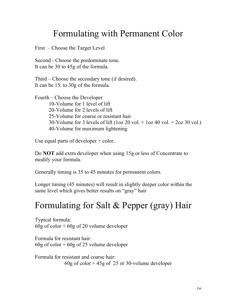### Formulating with Permanent Color

First – Choose the Target Level

Second - Choose the predominate tone. It can be 30 to 45g of the formula.

Third – Choose the secondary tone (if desired). It can be 15. to 30g of the formula.

Fourth – Choose the Developer 10-Volume for 1 level of lift 20-Volume for 2 levels of lift 25-Volume for coarse or resistant hair 30-Volume for 3 levels of lift  $(\log 20 \text{ vol.} + \log 40 \text{ vol.} = 2 \text{ oz } 30 \text{ vol.})$ 40-Volume for maximum lightening

Use equal parts of developer + color.

Do **NOT** add extra developer when using 15g or less of Concentrate to modify your formula.

Generally timing is 35 to 45 minutes for permanent colors.

Longer timing (45 minutes) will result in slightly deeper color within the same level which gives better results on "gray" hair

### Formulating for Salt & Pepper (gray) Hair

Typical formula: 60g of color  $+60g$  of 20 volume developer

Formula for resistant hair: 60g of color  $+60g$  of 25 volume developer

Formula for resistant and coarse hair: 60g of color + 45g of 25 or 30-volume developer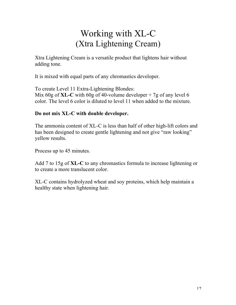### Working with XL-C (Xtra Lightening Cream)

Xtra Lightening Cream is a versatile product that lightens hair without adding tone.

It is mixed with equal parts of any chromastics developer.

To create Level 11 Extra-Lightening Blondes: Mix 60g of **XL-C** with 60g of 40-volume developer + 7g of any level 6 color. The level 6 color is diluted to level 11 when added to the mixture.

#### **Do not mix XL-C with double developer.**

The ammonia content of XL-C is less than half of other high-lift colors and has been designed to create gentle lightening and not give "raw looking" yellow results.

Process up to 45 minutes.

Add 7 to 15g of **XL-C** to any chromastics formula to increase lightening or to create a more translucent color.

XL-C contains hydrolyzed wheat and soy proteins, which help maintain a healthy state when lightening hair.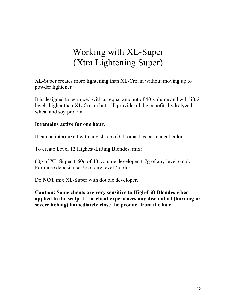### Working with XL-Super (Xtra Lightening Super)

XL-Super creates more lightening than XL-Cream without moving up to powder lightener

It is designed to be mixed with an equal amount of 40-volume and will lift 2 levels higher than XL-Cream but still provide all the benefits hydrolyzed wheat and soy protein.

#### **It remains active for one hour.**

It can be intermixed with any shade of Chromastics permanent color

To create Level 12 Highest-Lifting Blondes, mix:

60g of XL-Super + 60g of 40-volume developer + 7g of any level 6 color. For more deposit use 7g of any level 4 color.

Do **NOT** mix XL-Super with double developer.

**Caution: Some clients are very sensitive to High-Lift Blondes when applied to the scalp. If the client experiences any discomfort (burning or severe itching) immediately rinse the product from the hair.**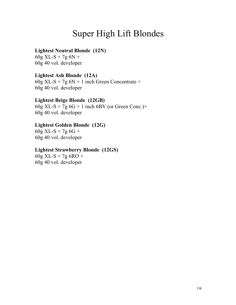### Super High Lift Blondes

#### **Lightest Neutral Blonde (12N)**

 $60g$  XL-S + 7g  $6N +$ 60g 40 vol. developer

#### **Lightest Ash Blonde (12A)**

 $60g$  XL-S + 7g  $6N + 1$  inch Green Concentrate + 60g 40 vol. developer

#### **Lightest Beige Blonde (12GB)**

 $60g$  XL-S + 7g  $6G + 1$  inch 6BV (or Green Conc.)+ 60g 40 vol. developer

#### **Lightest Golden Blonde (12G)**

 $60g$  XL-S + 7g  $6G$  + 60g 40 vol. developer

#### **Lightest Strawberry Blonde (12GS)**

60g XL-S + 7g 6RO + 60g 40 vol. developer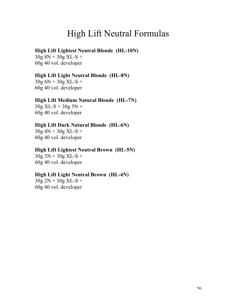### High Lift Neutral Formulas

#### **High Lift Lightest Neutral Blonde (HL-10N)**

 $30g 8N + 30g XL-S +$ 60g 40 vol. developer

#### **High Lift Light Neutral Blonde (HL-8N)**

 $30g 6N + 30g XL-S +$ 60g 40 vol. developer

#### **High Lift Medium Natural Blonde (HL-7N)**

 $30g$  XL-S +  $30g$  5N + 60g 40 vol. developer

#### **High Lift Dark Natural Blonde (HL-6N)**

 $30g 4N + 30g XL-S +$ 60g 40 vol. developer

#### **High Lift Lightest Neutral Brown (HL-5N)**

 $30g 3N + 30g XL-S +$ 60g 40 vol. developer

#### **High Lift Light Neutral Brown (HL-4N)**

 $30g 2N + 30g XL-S +$ 60g 40 vol. developer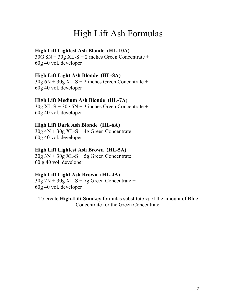### High Lift Ash Formulas

#### **High Lift Lightest Ash Blonde (HL-10A)**

30G 8N + 30g XL-S + 2 inches Green Concentrate + 60g 40 vol. developer

#### **High Lift Light Ash Blonde (HL-8A)**

 $30g$  6N +  $30g$  XL-S + 2 inches Green Concentrate + 60g 40 vol. developer

#### **High Lift Medium Ash Blonde (HL-7A)**

 $30g$  XL-S +  $30g$  5N + 3 inches Green Concentrate + 60g 40 vol. developer

#### **High Lift Dark Ash Blonde (HL-6A)**

30g 4N + 30g XL-S + 4g Green Concentrate + 60g 40 vol. developer

#### **High Lift Lightest Ash Brown (HL-5A)**

 $30g \ 3N + 30g \ XL-S + 5g$  Green Concentrate + 60 g 40 vol. developer

#### **High Lift Light Ash Brown (HL-4A)**

 $30g 2N + 30g XL-S + 7g Green Concentrate +$ 60g 40 vol. developer

To create **High-Lift Smokey** formulas substitute ½ of the amount of Blue Concentrate for the Green Concentrate.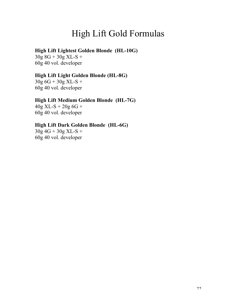### High Lift Gold Formulas

#### **High Lift Lightest Golden Blonde (HL-10G)**

 $30g 8G + 30g XL-S +$ 60g 40 vol. developer

#### **High Lift Light Golden Blonde (HL-8G)**

 $30g\ 6G + 30g\ XL-S +$ 60g 40 vol. developer

#### **High Lift Medium Golden Blonde (HL-7G)**

 $40g$  XL-S +  $20g$  6G + 60g 40 vol. developer

#### **High Lift Dark Golden Blonde (HL-6G)**

 $30g 4G + 30g XL-S +$ 60g 40 vol. developer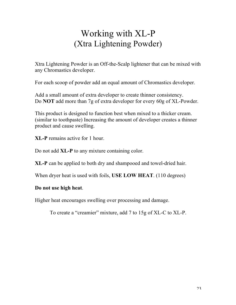### Working with XL-P (Xtra Lightening Powder)

Xtra Lightening Powder is an Off-the-Scalp lightener that can be mixed with any Chromastics developer.

For each scoop of powder add an equal amount of Chromastics developer.

Add a small amount of extra developer to create thinner consistency. Do **NOT** add more than 7g of extra developer for every 60g of XL-Powder.

This product is designed to function best when mixed to a thicker cream. (similar to toothpaste) Increasing the amount of developer creates a thinner product and cause swelling.

**XL-P** remains active for 1 hour.

Do not add **XL-P** to any mixture containing color.

**XL-P** can be applied to both dry and shampooed and towel-dried hair.

When dryer heat is used with foils, **USE LOW HEAT**. (110 degrees)

#### **Do not use high heat**.

Higher heat encourages swelling over processing and damage.

To create a "creamier" mixture, add 7 to 15g of XL-C to XL-P.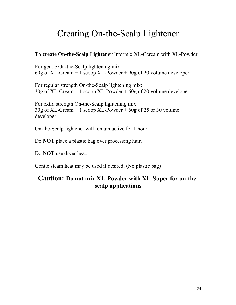### Creating On-the-Scalp Lightener

#### **To create On-the-Scalp Lightener** Intermix XL-Ccream with XL-Powder.

For gentle On-the-Scalp lightening mix 60g of XL-Cream + 1 scoop XL-Powder + 90g of 20 volume developer.

For regular strength On-the-Scalp lightening mix: 30g of XL-Cream + 1 scoop XL-Powder + 60g of 20 volume developer.

For extra strength On-the-Scalp lightening mix  $30g$  of XL-Cream + 1 scoop XL-Powder + 60g of 25 or 30 volume developer.

On-the-Scalp lightener will remain active for 1 hour.

Do **NOT** place a plastic bag over processing hair.

Do **NOT** use dryer heat.

Gentle steam heat may be used if desired. (No plastic bag)

### **Caution: Do not mix XL-Powder with XL-Super for on-thescalp applications**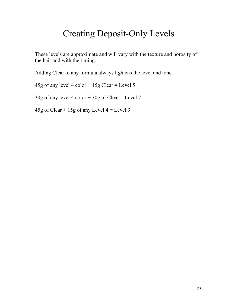### Creating Deposit-Only Levels

These levels are approximate and will vary with the texture and porosity of the hair and with the timing.

Adding Clear to any formula always lightens the level and tone.

45g of any level 4 color  $+ 15g$  Clear = Level 5

 $30g$  of any level 4 color +  $30g$  of Clear = Level 7

45g of Clear + 15g of any Level  $4 =$  Level 9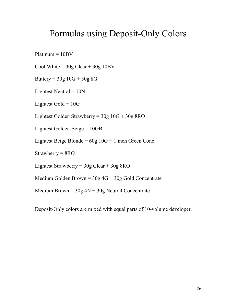### Formulas using Deposit-Only Colors

Platinum = 10BV

Cool White =  $30g$  Clear +  $30g$  10BV

Buttery =  $30g \ 10G + 30g \ 8G$ 

Lightest Neutral  $= 10N$ 

Lightest Gold  $= 10G$ 

Lightest Golden Strawberry = 30g 10G + 30g 8RO

Lightest Golden Beige = 10GB

Lightest Beige Blonde =  $60g \ 10G + 1$  inch Green Conc.

Strawberry = 8RO

Lightest Strawberry = 30g Clear + 30g 8RO

Medium Golden Brown =  $30g\,4G + 30g\,$  Gold Concentrate

Medium Brown =  $30g$  4N +  $30g$  Neutral Concentrate

Deposit-Only colors are mixed with equal parts of 10-volume developer.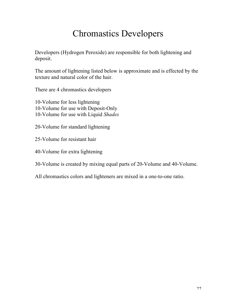### Chromastics Developers

Developers (Hydrogen Peroxide) are responsible for both lightening and deposit.

The amount of lightening listed below is approximate and is effected by the texture and natural color of the hair.

There are 4 chromastics developers

10-Volume for less lightening 10-Volume for use with Deposit-Only 10-Volume for use with Liquid *Shades*

- 20-Volume for standard lightening
- 25-Volume for resistant hair
- 40-Volume for extra lightening
- 30-Volume is created by mixing equal parts of 20-Volume and 40-Volume.
- All chromastics colors and lighteners are mixed in a one-to-one ratio.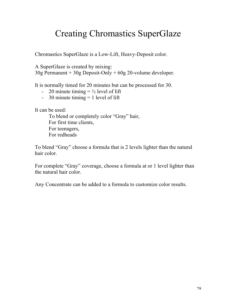### Creating Chromastics SuperGlaze

Chromastics SuperGlaze is a Low-Lift, Heavy-Deposit color.

A SuperGlaze is created by mixing:

30g Permanent + 30g Deposit-Only + 60g 20-volume developer.

It is normally timed for 20 minutes but can be processed for 30.

- 20 minute timing  $= \frac{1}{2}$  level of lift
- 30 minute timing  $= 1$  level of lift

It can be used:

To blend or completely color "Gray" hair, For first time clients, For teenagers, For redheads

To blend "Gray" choose a formula that is 2 levels lighter than the natural hair color.

For complete "Gray" coverage, choose a formula at or 1 level lighter than the natural hair color.

Any Concentrate can be added to a formula to customize color results.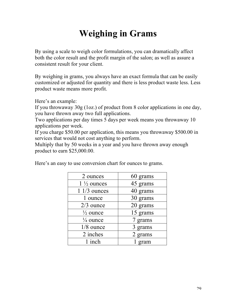### **Weighing in Grams**

By using a scale to weigh color formulations, you can dramatically affect both the color result and the profit margin of the salon; as well as assure a consistent result for your client.

By weighing in grams, you always have an exact formula that can be easily customized or adjusted for quantity and there is less product waste less. Less product waste means more profit.

Here's an example:

If you throwaway 30g (1oz.) of product from 8 color applications in one day, you have thrown away two full applications.

Two applications per day times 5 days per week means you throwaway 10 applications per week.

If you charge \$50.00 per application, this means you throwaway \$500.00 in services that would not cost anything to perform.

Multiply that by 50 weeks in a year and you have thrown away enough product to earn \$25,000.00.

| 2 ounces              | 60 grams |
|-----------------------|----------|
| $1\frac{1}{2}$ ounces | 45 grams |
| $11/3$ ounces         | 40 grams |
| 1 ounce               | 30 grams |
| $2/3$ ounce           | 20 grams |
| $\frac{1}{2}$ ounce   | 15 grams |
| $\frac{1}{4}$ ounce   | 7 grams  |
| $1/8$ ounce           | 3 grams  |
| 2 inches              | 2 grams  |
| 1 inch                | 1 gram   |

Here's an easy to use conversion chart for ounces to grams.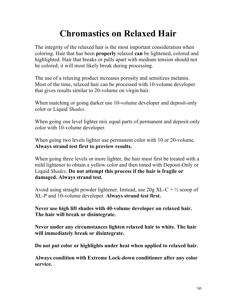### **Chromastics on Relaxed Hair**

The integrity of the relaxed hair is the most important consideration when coloring. Hair that has been **properly** relaxed **can** be lightened, colored and highlighted. Hair that breaks or pulls apart with medium tension should not be colored; it will most likely break during processing.

The use of a relaxing product increases porosity and sensitizes melanin. Most of the time, relaxed hair can be processed with 10-volume developer that gives results similar to 20-volume on virgin hair.

When matching or going darker use 10-volume developer and deposit-only color or Liquid *Shades*.

When going one level lighter mix equal parts of permanent and deposit-only color with 10-volume developer.

When going two levels lighter use permanent color with 10 or 20-volume. **Always strand test first to preview results.**

When going three levels or more lighter, the hair must first be treated with a mild lightener to obtain a yellow color and then toned with Deposit-Only or Liquid *Shades*. **Do not attempt this process if the hair is fragile or damaged. Always strand test.**

Avoid using straight powder lightener. Instead, use  $20g$  XL-C +  $\frac{1}{2}$  scoop of XL-P and 10-volume developer. **Always strand test first.**

**Never use high lift shades with 40-volume developer on relaxed hair. The hair will break or disintegrate.**

**Never under any circumstances lighten relaxed hair to white. The hair will immediately break or disintegrate.**

**Do not put color or highlights under heat when applied to relaxed hair.**

**Always condition with Extreme Lock-down conditioner after any color service.**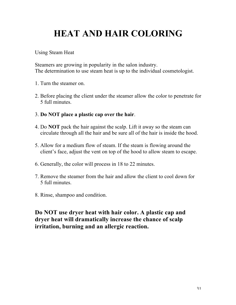# **HEAT AND HAIR COLORING**

Using Steam Heat

Steamers are growing in popularity in the salon industry. The determination to use steam heat is up to the individual cosmetologist.

- 1. Turn the steamer on.
- 2. Before placing the client under the steamer allow the color to penetrate for 5 full minutes.
- 3. **Do NOT place a plastic cap over the hair**.
- 4. Do **NOT** pack the hair against the scalp. Lift it away so the steam can circulate through all the hair and be sure all of the hair is inside the hood.
- 5. Allow for a medium flow of steam. If the steam is flowing around the client's face, adjust the vent on top of the hood to allow steam to escape.
- 6. Generally, the color will process in 18 to 22 minutes.
- 7. Remove the steamer from the hair and allow the client to cool down for 5 full minutes.
- 8. Rinse, shampoo and condition.

**Do NOT use dryer heat with hair color. A plastic cap and dryer heat will dramatically increase the chance of scalp irritation, burning and an allergic reaction.**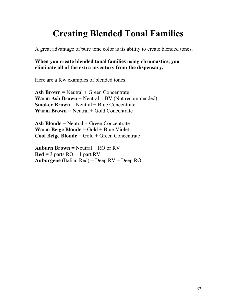### **Creating Blended Tonal Families**

A great advantage of pure tone color is its ability to create blended tones.

#### **When you create blended tonal families using chromastics, you eliminate all of the extra inventory from the dispensary.**

Here are a few examples of blended tones.

**Ash Brown =** Neutral + Green Concentrate **Warm Ash Brown =** Neutral + BV (Not recommended) **Smokey Brown** = Neutral + Blue Concentrate **Warm Brown = Neutral + Gold Concentrate** 

**Ash Blonde** = Neutral + Green Concentrate **Warm Beige Blonde =** Gold + Blue-Violet **Cool Beige Blonde** = Gold + Green Concentrate

**Auburn Brown =** Neutral + RO or RV  $\text{Red} = 3$  parts  $\text{RO} + 1$  part  $\text{RV}$ **Auburgene** (Italian Red) = Deep RV + Deep RO